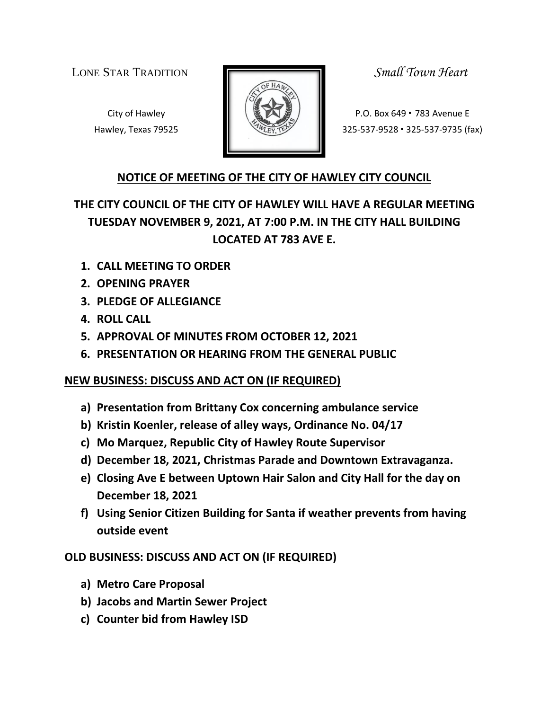LONE STAR TRADITION *Small Town Heart*



City of Hawley **Property P.O. Box 649 • 783 Avenue E** Hawley, Texas 79525 **325-537-9528 · 325-537-9735** (fax)

### **NOTICE OF MEETING OF THE CITY OF HAWLEY CITY COUNCIL**

# **THE CITY COUNCIL OF THE CITY OF HAWLEY WILL HAVE A REGULAR MEETING TUESDAY NOVEMBER 9, 2021, AT 7:00 P.M. IN THE CITY HALL BUILDING LOCATED AT 783 AVE E.**

- **1. CALL MEETING TO ORDER**
- **2. OPENING PRAYER**
- **3. PLEDGE OF ALLEGIANCE**
- **4. ROLL CALL**
- **5. APPROVAL OF MINUTES FROM OCTOBER 12, 2021**
- **6. PRESENTATION OR HEARING FROM THE GENERAL PUBLIC**

## **NEW BUSINESS: DISCUSS AND ACT ON (IF REQUIRED)**

- **a) Presentation from Brittany Cox concerning ambulance service**
- **b) Kristin Koenler, release of alley ways, Ordinance No. 04/17**
- **c) Mo Marquez, Republic City of Hawley Route Supervisor**
- **d) December 18, 2021, Christmas Parade and Downtown Extravaganza.**
- **e) Closing Ave E between Uptown Hair Salon and City Hall for the day on December 18, 2021**
- **f) Using Senior Citizen Building for Santa if weather prevents from having outside event**

## **OLD BUSINESS: DISCUSS AND ACT ON (IF REQUIRED)**

- **a) Metro Care Proposal**
- **b) Jacobs and Martin Sewer Project**
- **c) Counter bid from Hawley ISD**